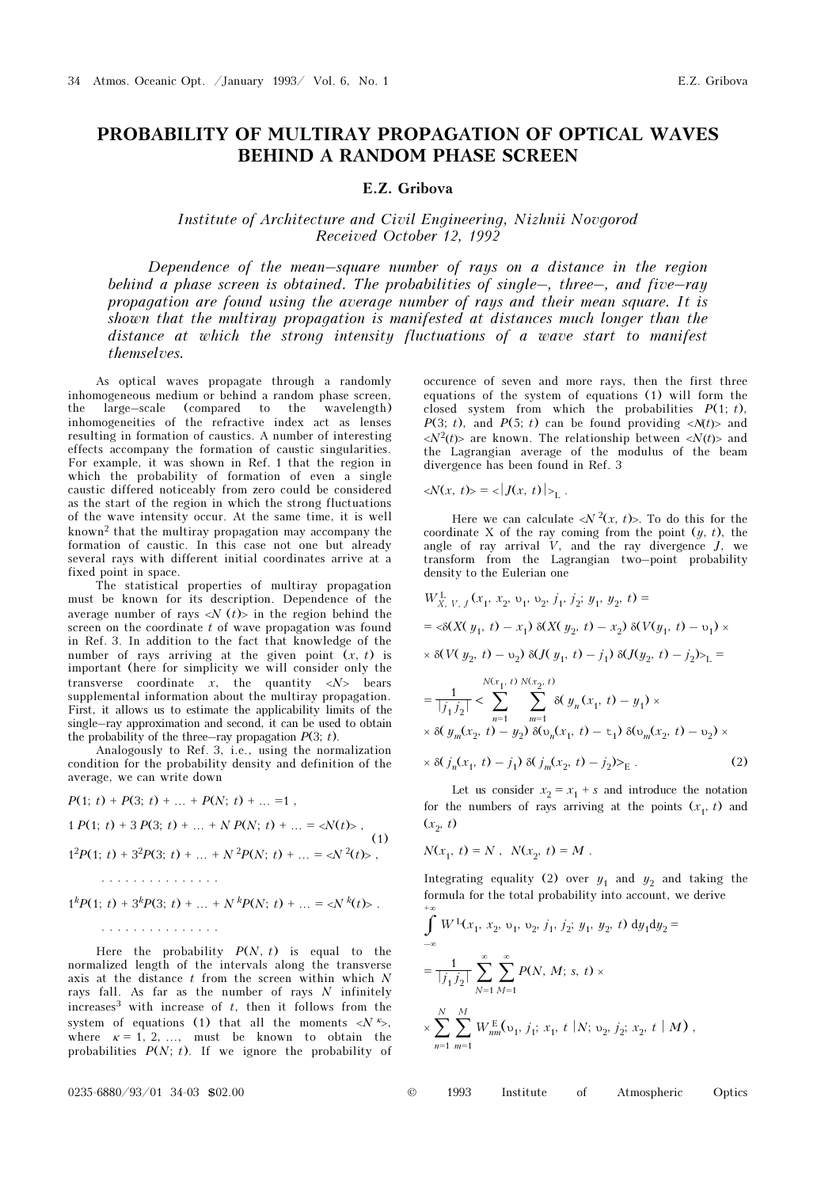## PROBABILITY OF MULTIRAY PROPAGATION OF OPTICAL WAVES BEHIND A RANDOM PHASE SCREEN

## E.Z. Gribova

## Institute of Architecture and Civil Engineering, Nizhnii Novgorod Received October 12, 1992

Dependence of the mean–square number of rays on a distance in the region behind a phase screen is obtained. The probabilities of single-, three-, and five-ray propagation are found using the average number of rays and their mean square. It is shown that the multiray propagation is manifested at distances much longer than the distance at which the strong intensity fluctuations of a wave start to manifest themselves.

As optical waves propagate through a randomly inhomogeneous medium or behind a random phase screen, the large–scale (compared to the wavelength) inhomogeneities of the refractive index act as lenses resulting in formation of caustics. A number of interesting effects accompany the formation of caustic singularities. For example, it was shown in Ref. 1 that the region in which the probability of formation of even a single caustic differed noticeably from zero could be considered as the start of the region in which the strong fluctuations of the wave intensity occur. At the same time, it is well known2 that the multiray propagation may accompany the formation of caustic. In this case not one but already several rays with different initial coordinates arrive at a fixed point in space.

The statistical properties of multiray propagation must be known for its description. Dependence of the average number of rays  $\langle N(t) \rangle$  in the region behind the screen on the coordinate  $t$  of wave propagation was found in Ref. 3. In addition to the fact that knowledge of the number of rays arriving at the given point  $(x, t)$  is important (here for simplicity we will consider only the transverse coordinate  $x$ , the quantity  $\langle N \rangle$  bears supplemental information about the multiray propagation. First, it allows us to estimate the applicability limits of the single–ray approximation and second, it can be used to obtain the probability of the three–ray propagation  $P(3; t)$ .

Analogously to Ref. 3, i.e., using the normalization condition for the probability density and definition of the average, we can write down

$$
P(1; t) + P(3; t) + \dots + P(N; t) + \dots = 1,
$$
  
\n
$$
1 P(1; t) + 3 P(3; t) + \dots + N P(N; t) + \dots = \langle N(t) \rangle,
$$
  
\n
$$
1^{2} P(1; t) + 3^{2} P(3; t) + \dots + N^{2} P(N; t) + \dots = \langle N^{2}(t) \rangle,
$$
  
\n
$$
\dots \dots \dots \dots \dots
$$

$$
1^{k}P(1; t) + 3^{k}P(3; t) + \dots + N^{k}P(N; t) + \dots = \langle N^{k}(t) \rangle.
$$

Here the probability  $P(N, t)$  is equal to the normalized length of the intervals along the transverse axis at the distance  $t$  from the screen within which  $N$ rays fall. As far as the number of rays  $N$  infinitely increases<sup>3</sup> with increase of  $t$ , then it follows from the system of equations (1) that all the moments  $\langle N \rangle^k$ , where  $\kappa = 1, 2, \ldots$ , must be known to obtain the probabilities  $P(N; t)$ . If we ignore the probability of occurence of seven and more rays, then the first three equations of the system of equations (1) will form the closed system from which the probabilities  $P(1; t)$ ,  $P(3; t)$ , and  $P(5; t)$  can be found providing  $\langle N(t) \rangle$  and  $\langle N^2(t)\rangle$  are known. The relationship between  $\langle N(t)\rangle$  and the Lagrangian average of the modulus of the beam divergence has been found in Ref. 3

 $\langle N(x, t) \rangle = \langle |J(x, t)| \rangle$ <sub>L</sub>.

Here we can calculate  $\langle N^2(x, t) \rangle$ . To do this for the coordinate X of the ray coming from the point  $(y, t)$ , the angle of ray arrival  $\dot{V}$ , and the ray divergence  $J$ , we transform from the Lagrangian two–point probability density to the Eulerian one

$$
W_{X, V, J}^{L}(x_1, x_2, v_1, v_2, j_1, j_2; y_1, y_2, t) =
$$
  
\n
$$
= \langle \delta(X(y_1, t) - x_1) \delta(X(y_2, t) - x_2) \delta(V(y_1, t) - v_1) \times
$$
  
\n
$$
\times \delta(V(y_2, t) - v_2) \delta(J(y_1, t) - j_1) \delta(J(y_2, t) - j_2) >_L =
$$
  
\n
$$
= \frac{1}{|j_1 j_2|} \langle \sum_{\substack{n=1 \ n=1}}^{N(x_1, t) N(x_2, t)} \delta(y_n(x_1, t) - y_1) \times
$$
  
\n
$$
\times \delta(y_m(x_2, t) - y_2) \delta(v_n(x_1, t) - t_1) \delta(v_m(x_2, t) - v_2) \times
$$
  
\n
$$
\times \delta(j_n(x_1, t) - j_1) \delta(j_m(x_2, t) - j_2) >_E.
$$
 (2)

Let us consider  $x_2 = x_1 + s$  and introduce the notation for the numbers of rays arriving at the points  $(x_1, t)$  and  $(x_2, t)$ 

$$
N(x_1, t) = N, N(x_2, t) = M.
$$

Integrating equality (2) over  $y_1$  and  $y_2$  and taking the formula for the total probability into account, we derive

$$
\int_{-\infty}^{+\infty} W^{1}(x_{1}, x_{2}, v_{1}, v_{2}, j_{1}, j_{2}; y_{1}, y_{2}, t) dy_{1} dy_{2} =
$$
\n
$$
= \frac{1}{|j_{1}j_{2}|} \sum_{N=1}^{\infty} \sum_{M=1}^{\infty} P(N, M; s, t) \times
$$
\n
$$
\times \sum_{n=1}^{N} \sum_{m=1}^{M} W^{E}_{nm}(v_{1}, j_{1}; x_{1}, t | N; v_{2}, j_{2}; x_{2}, t | M),
$$

0235-6880/93/01 34-03 \$02.00 © 1993 Institute of Atmospheric Optics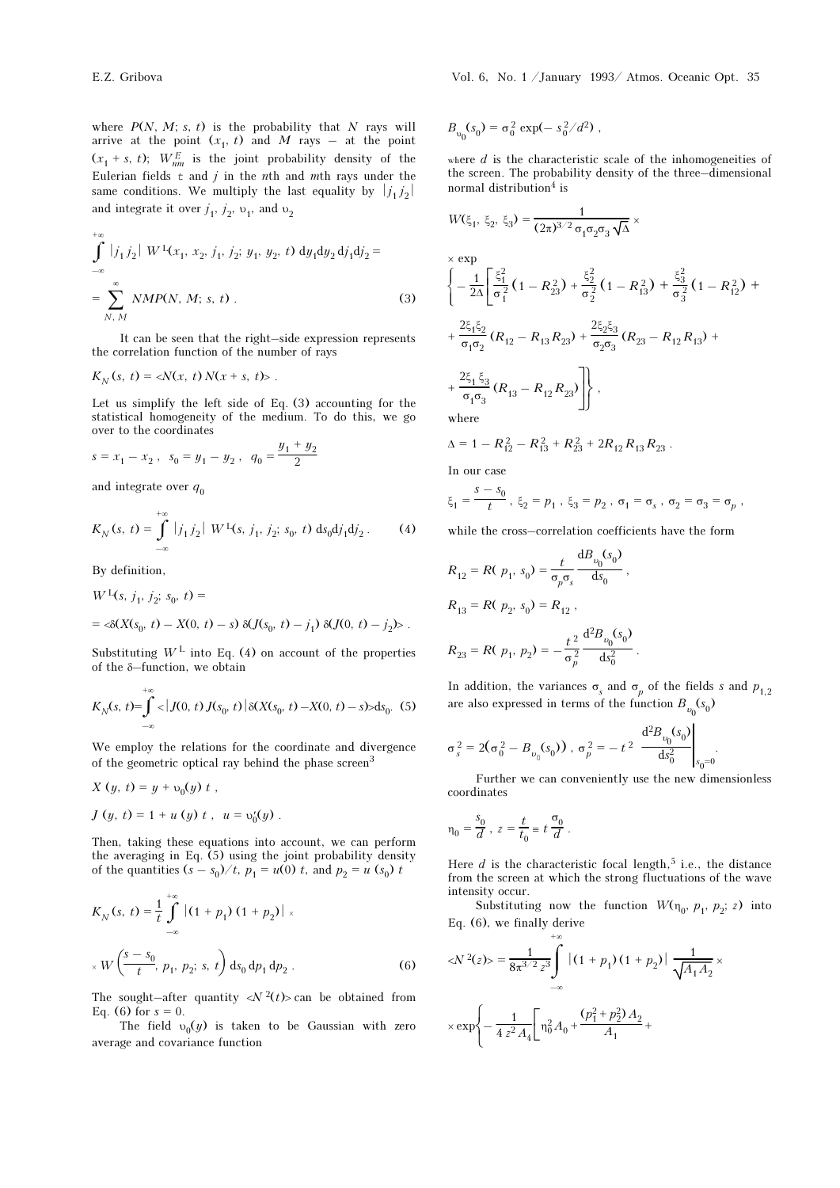where  $P(N, M; s, t)$  is the probability that N rays will arrive at the point  $(x_1, t)$  and M rays – at the point  $(x_1 + s, t)$ ;  $W_{nm}^E$  is the joint probability density of the Eulerian fields  $t$  and  $j$  in the nth and mth rays under the same conditions. We multiply the last equality by  $|j_1 j_2|$ and integrate it over  $j_1$ ,  $j_2$ ,  $v_1$ , and  $v_2$ 

$$
\int_{-\infty}^{+\infty} |j_1 j_2| W^1(x_1, x_2, j_1, j_2; y_1, y_2, t) dy_1 dy_2 dy_1 dy_2 =
$$
\n
$$
= \sum_{N, M}^{\infty} NMP(N, M; s, t).
$$
\n(3)

It can be seen that the right–side expression represents the correlation function of the number of rays

$$
K_N(s, t) = \langle N(x, t) N(x + s, t) \rangle.
$$

Let us simplify the left side of Eq. (3) accounting for the statistical homogeneity of the medium. To do this, we go over to the coordinates

$$
s=x_1-x_2\;,\;\;s_0=y_1-y_2\;,\;\;q_0=\frac{y_1+y_2}{2}
$$

and integrate over  $q_0$ 

$$
K_N(s, t) = \int_{-\infty}^{+\infty} |j_1 j_2| W^{\mathrm{L}}(s, j_1, j_2; s_0, t) \mathrm{d}s_0 \mathrm{d}j_1 \mathrm{d}j_2. \tag{4}
$$

By definition,

$$
W^{L}(s, j_{1}, j_{2}; s_{0}, t) =
$$
  
=  $\langle \delta(X(s_{0}, t) - X(0, t) - s) \delta(J(s_{0}, t) - j_{1}) \delta(J(0, t) - j_{2}) \rangle$ .

Substituting  $W<sup>L</sup>$  into Eq. (4) on account of the properties of the δ–function, we obtain

$$
K_N(s, t) = \int_{-\infty}^{+\infty} \langle |J(0, t) J(s_0, t) | \delta(X(s_0, t) - X(0, t) - s) \rangle ds_0. \tag{5}
$$

We employ the relations for the coordinate and divergence of the geometric optical ray behind the phase screen<sup>3</sup>

$$
X (y, t) = y + v_0(y) t,
$$
  
\n
$$
J (y, t) = 1 + u (y) t, u = v'_0(y).
$$

Then, taking these equations into account, we can perform the averaging in Eq. (5) using the joint probability density of the quantities  $(s - s_0) / t$ ,  $p_1 = u(0) t$ , and  $p_2 = u(s_0) t$ 

$$
K_N(s, t) = \frac{1}{t} \int_{-\infty}^{+\infty} |(1 + p_1) (1 + p_2)| \times
$$
  
 
$$
\times W\left(\frac{s - s_0}{t}, p_1, p_2; s, t\right) ds_0 dp_1 dp_2.
$$
 (6)

The sought–after quantity  $\langle N^2(t) \rangle$  can be obtained from Eq. (6) for  $s = 0$ .

The field  $v_0(y)$  is taken to be Gaussian with zero average and covariance function

$$
B_{v_0}(s_0) = \sigma_0^2 \exp(-s_0^2/d^2) ,
$$

where  $d$  is the characteristic scale of the inhomogeneities of the screen. The probability density of the three–dimensional normal distribution<sup>4</sup> is

$$
W(\xi_1, \xi_2, \xi_3) = \frac{1}{(2\pi)^{3/2} \sigma_1 \sigma_2 \sigma_3 \sqrt{\Delta}} \times
$$
  
\n
$$
\times \exp \left\{ -\frac{1}{2\Delta} \left[ \frac{\xi_1^2}{\sigma_1^2} \left( 1 - R_{23}^2 \right) + \frac{\xi_2^2}{\sigma_2^2} \left( 1 - R_{13}^2 \right) + \frac{\xi_3^2}{\sigma_3^2} \left( 1 - R_{12}^2 \right) + \right. \\ \left. + \frac{2\xi_1\xi_2}{\sigma_1\sigma_2} \left( R_{12} - R_{13}R_{23} \right) + \frac{2\xi_2\xi_3}{\sigma_2\sigma_3} \left( R_{23} - R_{12}R_{13} \right) + \right. \\ \left. + \frac{2\xi_1\xi_3}{\sigma_1\sigma_3} \left( R_{13} - R_{12}R_{23} \right) \right\},
$$
  
\nwhere

$$
\Delta = 1 - R_{12}^2 - R_{13}^2 + R_{23}^2 + 2R_{12}R_{13}R_{23} .
$$

In our case

$$
\xi_1 = \frac{s - s_0}{t}
$$
,  $\xi_2 = p_1$ ,  $\xi_3 = p_2$ ,  $\sigma_1 = \sigma_s$ ,  $\sigma_2 = \sigma_3 = \sigma_p$ ,

while the cross–correlation coefficients have the form

$$
R_{12} = R(\ p_1, s_0) = \frac{t}{\sigma_p \sigma_s} \frac{dB_{\nu_0}(s_0)}{ds_0},
$$
  
\n
$$
R_{13} = R(\ p_2, s_0) = R_{12},
$$
  
\n
$$
R_{23} = R(\ p_1, p_2) = -\frac{t^2}{\sigma_p^2} \frac{d^2 B_{\nu_0}(s_0)}{ds_0^2}.
$$

In addition, the variances  $\sigma_s$  and  $\sigma_p$  of the fields s and  $p_{1,2}$ are also expressed in terms of the function  $B_{\nu_0}(s_0)$ 

$$
\sigma_s^2 = 2(\sigma_0^2 - B_{\nu_0}(s_0)), \ \sigma_p^2 = -t^2 \left. \frac{d^2 B_{\nu_0}(s_0)}{ds_0^2} \right|_{s_0 = 0}.
$$

Further we can conveniently use the new dimensionless coordinates

$$
\eta_0 = \frac{s_0}{d}
$$
,  $z = \frac{t}{t_0} = t \frac{\sigma_0}{d}$ .

Here  $d$  is the characteristic focal length,<sup>5</sup> i.e., the distance from the screen at which the strong fluctuations of the wave intensity occur.

Substituting now the function  $W(\eta_0, p_1, p_2; z)$  into Eq. (6), we finally derive

$$
\langle N^2(z) \rangle = \frac{1}{8\pi^{3/2} z^3} \int_{-\infty}^{+\infty} |(1 + p_1)(1 + p_2)| \frac{1}{\sqrt{A_1 A_2}} \times \exp \left\{-\frac{1}{4 z^2 A_4} \left[ \eta_0^2 A_0 + \frac{(p_1^2 + p_2^2) A_2}{A_1} + \right. \right\}
$$